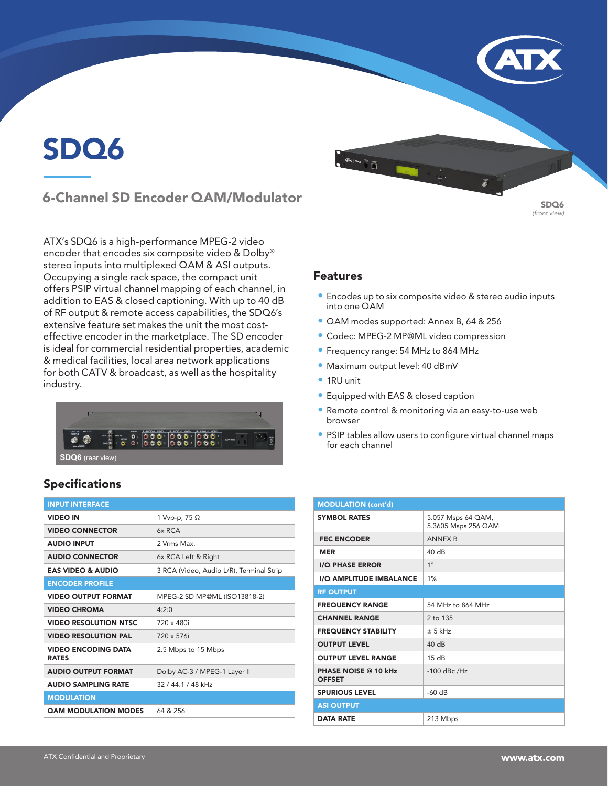# SDQ6

# 6-Channel SD Encoder QAM/Modulator

ATX's SDQ6 is a high-performance MPEG-2 video encoder that encodes six composite video & Dolby® stereo inputs into multiplexed QAM & ASI outputs. Occupying a single rack space, the compact unit offers PSIP virtual channel mapping of each channel, in addition to EAS & closed captioning. With up to 40 dB of RF output & remote access capabilities, the SDQ6's extensive feature set makes the unit the most costeffective encoder in the marketplace. The SD encoder is ideal for commercial residential properties, academic & medical facilities, local area network applications for both CATV & broadcast, as well as the hospitality industry.



### Specifications

| <b>INPUT INTERFACE</b>                     |                                          |
|--------------------------------------------|------------------------------------------|
| <b>VIDEO IN</b>                            | 1 Vvp-p, 75 Ω                            |
| <b>VIDEO CONNECTOR</b>                     | 6x RCA                                   |
| <b>AUDIO INPUT</b>                         | 2 Vrms Max                               |
| <b>AUDIO CONNECTOR</b>                     | 6x RCA Left & Right                      |
| <b>EAS VIDEO &amp; AUDIO</b>               | 3 RCA (Video, Audio L/R), Terminal Strip |
| <b>ENCODER PROFILE</b>                     |                                          |
| <b>VIDEO OUTPUT FORMAT</b>                 | MPEG-2 SD MP@ML (ISO13818-2)             |
| <b>VIDEO CHROMA</b>                        | 4.2.0                                    |
| <b>VIDEO RESOLUTION NTSC</b>               | $720 \times 480i$                        |
| <b>VIDEO RESOLUTION PAL</b>                | 720 x 576i                               |
| <b>VIDEO ENCODING DATA</b><br><b>RATES</b> | 2.5 Mbps to 15 Mbps                      |
| <b>AUDIO OUTPUT FORMAT</b>                 | Dolby AC-3 / MPEG-1 Layer II             |
| <b>AUDIO SAMPLING RATE</b>                 | 32 / 44.1 / 48 kHz                       |
| <b>MODULATION</b>                          |                                          |
| <b>QAM MODULATION MODES</b>                | 64 & 256                                 |

#### Features

- Encodes up to six composite video & stereo audio inputs into one QAM
- QAM modes supported: Annex B, 64 & 256
- Codec: MPEG-2 MP@ML video compression
- Frequency range: 54 MHz to 864 MHz
- Maximum output level: 40 dBmV

- 1RU unit
- Equipped with EAS & closed caption
- Remote control & monitoring via an easy-to-use web browser
- PSIP tables allow users to configure virtual channel maps for each channel

| <b>MODULATION (cont'd)</b>                   |                                           |  |
|----------------------------------------------|-------------------------------------------|--|
| <b>SYMBOL RATES</b>                          | 5.057 Msps 64 QAM,<br>5.3605 Msps 256 QAM |  |
| <b>FEC ENCODER</b>                           | <b>ANNEX B</b>                            |  |
| <b>MER</b>                                   | $40 \text{ dB}$                           |  |
| <b>I/Q PHASE ERROR</b>                       | $1^{\circ}$                               |  |
| I/Q AMPLITUDE IMBALANCE                      | 1%                                        |  |
| <b>RF OUTPUT</b>                             |                                           |  |
| <b>FREQUENCY RANGE</b>                       | 54 MHz to 864 MHz                         |  |
| <b>CHANNEL RANGE</b>                         | 2 to 135                                  |  |
| <b>FREQUENCY STABILITY</b>                   | $+5$ kHz                                  |  |
| <b>OUTPUT LEVEL</b>                          | 40dB                                      |  |
| <b>OUTPUT LEVEL RANGE</b>                    | 15dB                                      |  |
| <b>PHASE NOISE @ 10 kHz</b><br><b>OFFSET</b> | $-100$ dBc /Hz                            |  |
| <b>SPURIOUS LEVEL</b>                        | $-60$ dB                                  |  |
| <b>ASI OUTPUT</b>                            |                                           |  |
| <b>DATA RATE</b>                             | 213 Mbps                                  |  |

SDQ6 *(front view)*